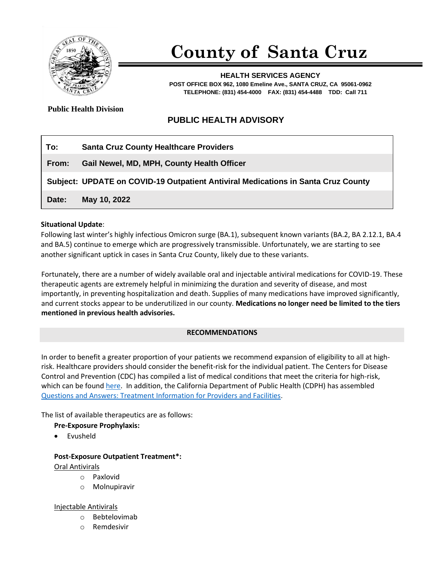

# **County of Santa Cruz**

**HEALTH SERVICES AGENCY POST OFFICE BOX 962, 1080 Emeline Ave., SANTA CRUZ, CA 95061-0962 TELEPHONE: (831) 454-4000 FAX: (831) 454-4488 TDD: Call 711**

**Public Health Division** 

## **PUBLIC HEALTH ADVISORY**

| To:   | <b>Santa Cruz County Healthcare Providers</b>                                     |
|-------|-----------------------------------------------------------------------------------|
| From: | Gail Newel, MD, MPH, County Health Officer                                        |
|       | Subject: UPDATE on COVID-19 Outpatient Antiviral Medications in Santa Cruz County |
| Date: | May 10, 2022                                                                      |

#### **Situational Update**:

Following last winter's highly infectious Omicron surge (BA.1), subsequent known variants (BA.2, BA 2.12.1, BA.4 and BA.5) continue to emerge which are progressively transmissible. Unfortunately, we are starting to see another significant uptick in cases in Santa Cruz County, likely due to these variants.

Fortunately, there are a number of widely available oral and injectable antiviral medications for COVID-19. These therapeutic agents are extremely helpful in minimizing the duration and severity of disease, and most importantly, in preventing hospitalization and death. Supplies of many medications have improved significantly, and current stocks appear to be underutilized in our county. **Medications no longer need be limited to the tiers mentioned in previous health advisories.**

### **RECOMMENDATIONS**

In order to benefit a greater proportion of your patients we recommend expansion of eligibility to all at [high](https://www.covid19treatmentguidelines.nih.gov/overview/prioritization-of-therapeutics/)[risk.](https://www.covid19treatmentguidelines.nih.gov/overview/prioritization-of-therapeutics/) Healthcare providers should consider the benefit-risk for the individual patient. The Centers for Disease Control and Prevention (CDC) has compiled a list of medical conditions that meet the criteria for high-risk, which can be foun[d here.](https://www.cdc.gov/coronavirus/2019-ncov/need-extra-precautions/people-with-medical-conditions.html) In addition, the California Department of Public Health (CDPH) has assembled [Questions and Answers: Treatment Information for Providers and Facilities.](https://www.cdph.ca.gov/Programs/CID/DCDC/Pages/COVID-19/Questions-and-Answers-Treatment-Information-for-Providers-and-Facilities.aspx)

The list of available therapeutics are as follows:

### **Pre-Exposure Prophylaxis:**

• Evusheld

### **Post-Exposure Outpatient Treatment\*:**

### Oral Antivirals

- o Paxlovid
- o Molnupiravir

### Injectable Antivirals

- o Bebtelovimab
- o Remdesivir